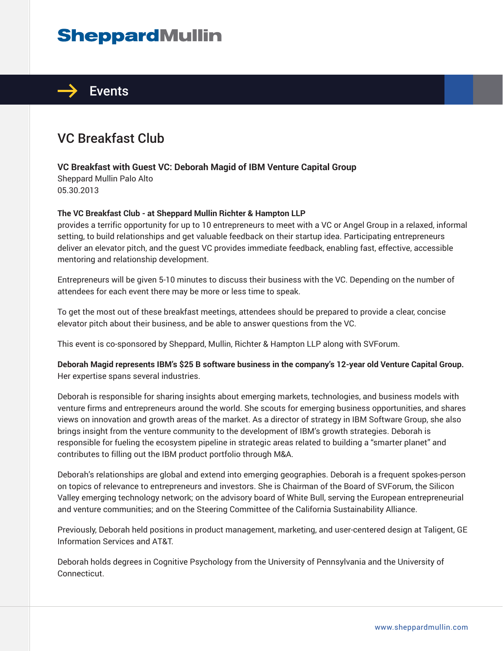## **SheppardMullin**



## VC Breakfast Club

## **VC Breakfast with Guest VC: Deborah Magid of IBM Venture Capital Group**

Sheppard Mullin Palo Alto 05.30.2013

## **The VC Breakfast Club - at Sheppard Mullin Richter & Hampton LLP**

provides a terrific opportunity for up to 10 entrepreneurs to meet with a VC or Angel Group in a relaxed, informal setting, to build relationships and get valuable feedback on their startup idea. Participating entrepreneurs deliver an elevator pitch, and the guest VC provides immediate feedback, enabling fast, effective, accessible mentoring and relationship development.

Entrepreneurs will be given 5-10 minutes to discuss their business with the VC. Depending on the number of attendees for each event there may be more or less time to speak.

To get the most out of these breakfast meetings, attendees should be prepared to provide a clear, concise elevator pitch about their business, and be able to answer questions from the VC.

This event is co-sponsored by Sheppard, Mullin, Richter & Hampton LLP along with SVForum.

**Deborah Magid represents IBM's \$25 B software business in the company's 12-year old Venture Capital Group.** Her expertise spans several industries.

Deborah is responsible for sharing insights about emerging markets, technologies, and business models with venture firms and entrepreneurs around the world. She scouts for emerging business opportunities, and shares views on innovation and growth areas of the market. As a director of strategy in IBM Software Group, she also brings insight from the venture community to the development of IBM's growth strategies. Deborah is responsible for fueling the ecosystem pipeline in strategic areas related to building a "smarter planet" and contributes to filling out the IBM product portfolio through M&A.

Deborah's relationships are global and extend into emerging geographies. Deborah is a frequent spokes-person on topics of relevance to entrepreneurs and investors. She is Chairman of the Board of SVForum, the Silicon Valley emerging technology network; on the advisory board of White Bull, serving the European entrepreneurial and venture communities; and on the Steering Committee of the California Sustainability Alliance.

Previously, Deborah held positions in product management, marketing, and user-centered design at Taligent, GE Information Services and AT&T.

Deborah holds degrees in Cognitive Psychology from the University of Pennsylvania and the University of Connecticut.